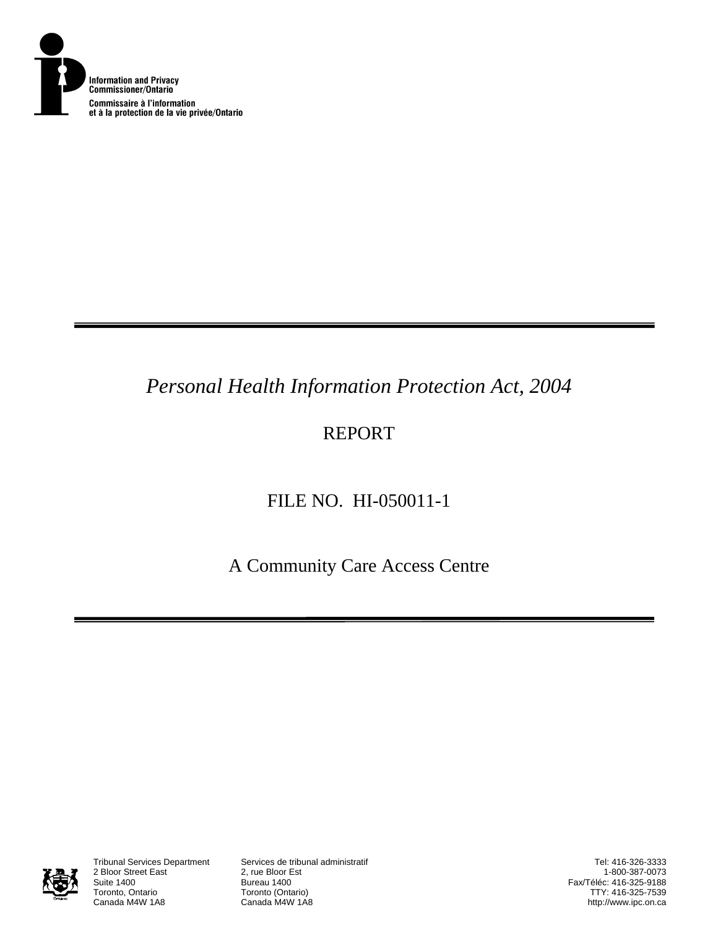

# *Personal Health Information Protection Act, 2004*

# REPORT

# FILE NO. HI-050011-1

A Community Care Access Centre



2 Bloor Street East<br>Suite 1400 Suite 1400<br>Toronto, Ontario **Bureau 1400**<br>Toronto (Onta Toronto, Ontario **Toronto (Ontario)**<br>Canada M4W 1A8 **Canada M4W 1A8** 

Tribunal Services Department Services de tribunal administratif

Tel: 416-326-3333 1-800-387-0073 Fax/Téléc: 416-325-9188 TTY: 416-325-7539 http://www.ipc.on.ca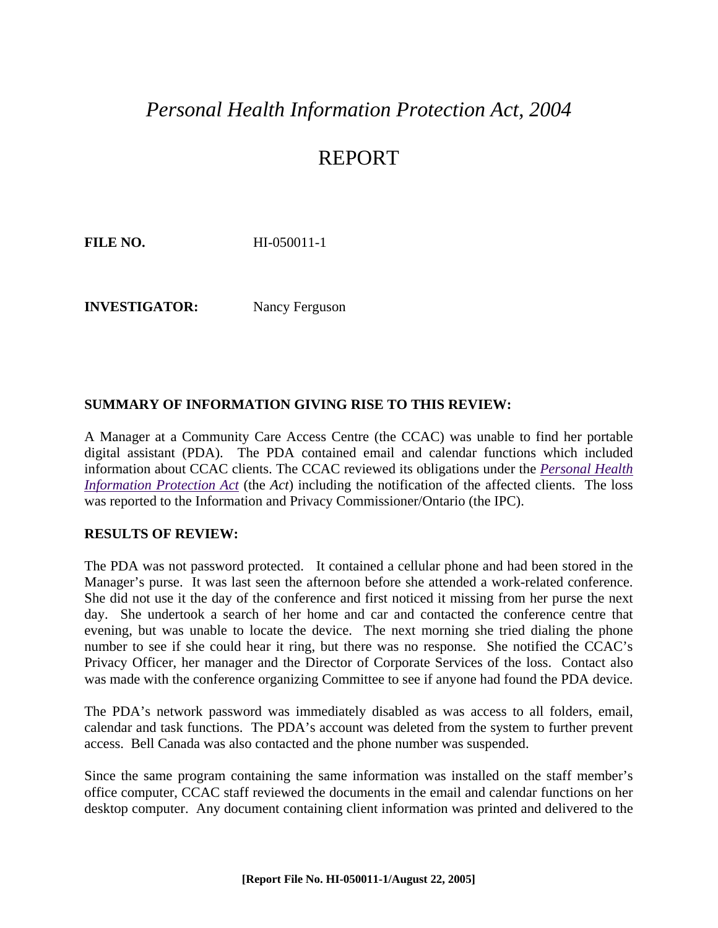## *Personal Health Information Protection Act, 2004*

## REPORT

**FILE NO.** HI-050011-1

**INVESTIGATOR:** Nancy Ferguson

#### **SUMMARY OF INFORMATION GIVING RISE TO THIS REVIEW:**

A Manager at a Community Care Access Centre (the CCAC) was unable to find her portable digital assistant (PDA). The PDA contained email and calendar functions which included information about CCAC clients. The CCAC reviewed its obligations under the *[Personal Health](http://www.e-laws.gov.on.ca/DBLaws/Statutes/English/04p03_e.htm)  [Information Protection Act](http://www.e-laws.gov.on.ca/DBLaws/Statutes/English/04p03_e.htm)* (the *Act*) including the notification of the affected clients. The loss was reported to the Information and Privacy Commissioner/Ontario (the IPC).

#### **RESULTS OF REVIEW:**

The PDA was not password protected. It contained a cellular phone and had been stored in the Manager's purse. It was last seen the afternoon before she attended a work-related conference. She did not use it the day of the conference and first noticed it missing from her purse the next day. She undertook a search of her home and car and contacted the conference centre that evening, but was unable to locate the device. The next morning she tried dialing the phone number to see if she could hear it ring, but there was no response. She notified the CCAC's Privacy Officer, her manager and the Director of Corporate Services of the loss. Contact also was made with the conference organizing Committee to see if anyone had found the PDA device.

The PDA's network password was immediately disabled as was access to all folders, email, calendar and task functions. The PDA's account was deleted from the system to further prevent access. Bell Canada was also contacted and the phone number was suspended.

Since the same program containing the same information was installed on the staff member's office computer, CCAC staff reviewed the documents in the email and calendar functions on her desktop computer. Any document containing client information was printed and delivered to the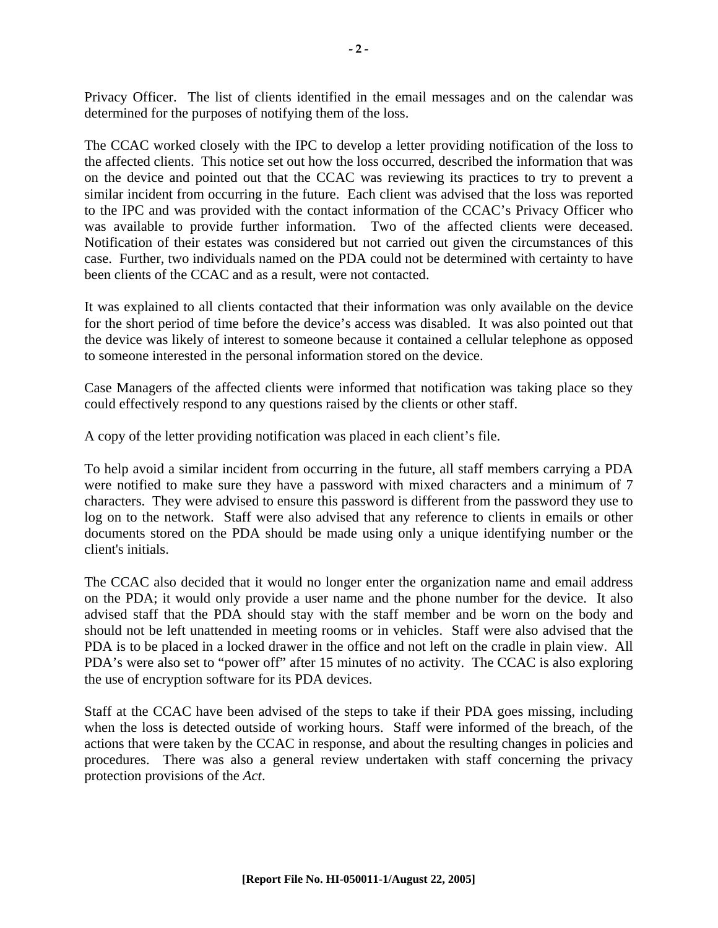Privacy Officer. The list of clients identified in the email messages and on the calendar was determined for the purposes of notifying them of the loss.

The CCAC worked closely with the IPC to develop a letter providing notification of the loss to the affected clients. This notice set out how the loss occurred, described the information that was on the device and pointed out that the CCAC was reviewing its practices to try to prevent a similar incident from occurring in the future. Each client was advised that the loss was reported to the IPC and was provided with the contact information of the CCAC's Privacy Officer who was available to provide further information. Two of the affected clients were deceased. Notification of their estates was considered but not carried out given the circumstances of this case. Further, two individuals named on the PDA could not be determined with certainty to have been clients of the CCAC and as a result, were not contacted.

It was explained to all clients contacted that their information was only available on the device for the short period of time before the device's access was disabled. It was also pointed out that the device was likely of interest to someone because it contained a cellular telephone as opposed to someone interested in the personal information stored on the device.

Case Managers of the affected clients were informed that notification was taking place so they could effectively respond to any questions raised by the clients or other staff.

A copy of the letter providing notification was placed in each client's file.

To help avoid a similar incident from occurring in the future, all staff members carrying a PDA were notified to make sure they have a password with mixed characters and a minimum of 7 characters. They were advised to ensure this password is different from the password they use to log on to the network. Staff were also advised that any reference to clients in emails or other documents stored on the PDA should be made using only a unique identifying number or the client's initials.

The CCAC also decided that it would no longer enter the organization name and email address on the PDA; it would only provide a user name and the phone number for the device. It also advised staff that the PDA should stay with the staff member and be worn on the body and should not be left unattended in meeting rooms or in vehicles. Staff were also advised that the PDA is to be placed in a locked drawer in the office and not left on the cradle in plain view. All PDA's were also set to "power off" after 15 minutes of no activity. The CCAC is also exploring the use of encryption software for its PDA devices.

Staff at the CCAC have been advised of the steps to take if their PDA goes missing, including when the loss is detected outside of working hours. Staff were informed of the breach, of the actions that were taken by the CCAC in response, and about the resulting changes in policies and procedures. There was also a general review undertaken with staff concerning the privacy protection provisions of the *Act*.